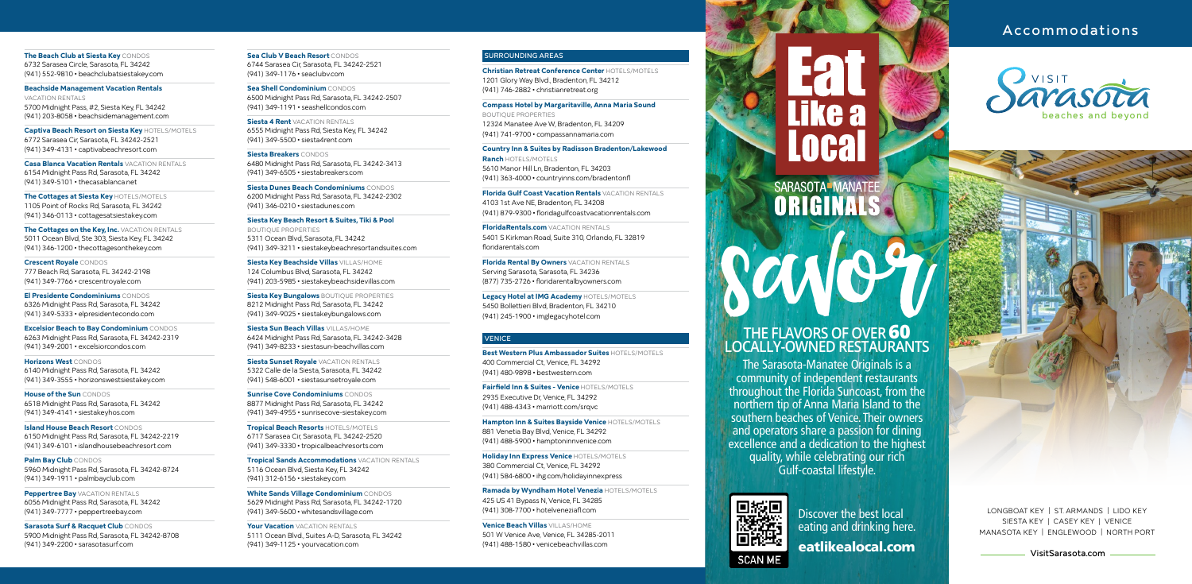[VisitSarasota.com](https://www.visitsarasota.com/)



MANASOTA KEY | ENGLEWOOD | NORTH PORT

# Accommodations

**The Beach Club at Siesta Key** CONDOS 6732 Sarasea Circle, Sarasota, FL 34242 (941) 552-9810 • beachclubatsiestakey.com

**Beachside Management Vacation Rentals**  VACATION RENTALS 5700 Midnight Pass, #2, Siesta Key, FL 34242 (941) 203-8058 • beachsidemanagement.com

**The Cottages on the Key, Inc. VACATION RENTALS** 5011 Ocean Blvd, Ste 303, Siesta Key, FL 34242 (941) 346-1200 • thecottagesonthekey.com

**Captiva Beach Resort on Siesta Key** HOTELS/MOTELS 6772 Sarasea Cir, Sarasota, FL 34242-2521 (941) 349-4131 • captivabeachresort.com

**Casa Blanca Vacation Rentals** VACATION RENTALS 6154 Midnight Pass Rd, Sarasota, FL 34242 (941) 349-5101 • thecasablanca.net

**The Cottages at Siesta Key** HOTELS/MOTELS 1105 Point of Rocks Rd, Sarasota, FL 34242 (941) 346-0113 • cottagesatsiestakey.com

**Peppertree Bay VACATION RENTALS** 6056 Midnight Pass Rd, Sarasota, FL 34242 (941) 349-7777 • peppertreebay.com

**Crescent Royale** CONDOS 777 Beach Rd, Sarasota, FL 34242-2198 (941) 349-7766 • crescentroyale.com

**El Presidente Condominiums** CONDOS 6326 Midnight Pass Rd, Sarasota, FL 34242 (941) 349-5333 • elpresidentecondo.com

**Excelsior Beach to Bay Condominium** CONDOS 6263 Midnight Pass Rd, Sarasota, FL 34242-2319 (941) 349-2001 • excelsiorcondos.com

**Horizons West** CONDOS 6140 Midnight Pass Rd, Sarasota, FL 34242 (941) 349-3555 • horizonswestsiestakey.com

**House of the Sun** CONDOS 6518 Midnight Pass Rd, Sarasota, FL 34242 (941) 349-4141 • siestakeyhos.com

**Siesta Key Bungalows BOUTIQUE PROPERTIES** 8212 Midnight Pass Rd, Sarasota, FL 34242 (941) 349-9025 • siestakeybungalows.com

**Island House Beach Resort** CONDOS 6150 Midnight Pass Rd, Sarasota, FL 34242-2219 (941) 349-6101 • islandhousebeachresort.com

**Siesta Sunset Royale** VACATION RENTALS 5322 Calle de la Siesta, Sarasota, FL 34242 (941) 548-6001 • siestasunsetroyale.com

**Palm Bay Club** CONDOS 5960 Midnight Pass Rd, Sarasota, FL 34242-8724 (941) 349-1911 • palmbayclub.com

**Sarasota Surf & Racquet Club** CONDOS 5900 Midnight Pass Rd, Sarasota, FL 34242-8708 (941) 349-2200 • sarasotasurf.com

**Sea Club V Beach Resort** CONDOS 6744 Sarasea Cir, Sarasota, FL 34242-2521 (941) 349-1176 • seaclubv.com

**Sea Shell Condominium** CONDOS 6500 Midnight Pass Rd, Sarasota, FL 34242-2507 (941) 349-1191 • seashellcondos.com

> **Florida Gulf Coast Vacation Rentals VACATION RENTALS** 4103 1st Ave NE, Bradenton, FL 34208 (941) 879-9300 • floridagulfcoastvacationrentals.com

**Siesta 4 Rent** VACATION RENTALS 6555 Midnight Pass Rd, Siesta Key, FL 34242 (941) 349-5500 • siesta4rent.com

> **FloridaRentals.com VACATION RENTALS** 5401 S Kirkman Road, Suite 310, Orlando, FL 32819 floridarentals.com

**Siesta Breakers** CONDOS 6480 Midnight Pass Rd, Sarasota, FL 34242-3413 (941) 349-6505 • siestabreakers.com

**Siesta Dunes Beach Condominiums** CONDOS 6200 Midnight Pass Rd, Sarasota, FL 34242-2302 (941) 346-0210 • siestadunes.com

**Siesta Key Beach Resort & Suites, Tiki & Pool**  BOUTIQUE PROPERTIES 5311 Ocean Blvd, Sarasota, FL 34242 (941) 349-3211 • siestakeybeachresortandsuites.com

**Siesta Key Beachside Villas** VILLAS/HOME 124 Columbus Blvd, Sarasota, FL 34242 (941) 203-5985 • siestakeybeachsidevillas.com

**Siesta Sun Beach Villas** VILLAS/HOME 6424 Midnight Pass Rd, Sarasota, FL 34242-3428 (941) 349-8233 • siestasun-beachvillas.com

> The Sarasota-Manatee Originals is a community of independent restaurants throughout the Florida Suncoast, from the northern tip of Anna Maria Island to the southern beaches of Venice. Their owners and operators share a passion for dining excellence and a dedication to the highest quality, while celebrating our rich Gulf-coastal lifestyle.



# like a

**Sunrise Cove Condominiums** CONDOS 8877 Midnight Pass Rd, Sarasota, FL 34242 (941) 349-4955 • sunrisecove-siestakey.com

**Tropical Beach Resorts** HOTELS/MOTELS 6717 Sarasea Cir, Sarasota, FL 34242-2520 (941) 349-3330 • tropicalbeachresorts.com

**Tropical Sands Accommodations** VACATION RENTALS 5116 Ocean Blvd, Siesta Key, FL 34242 (941) 312-6156 • siestakey.com

**White Sands Village Condominium** CONDOS 5629 Midnight Pass Rd, Sarasota, FL 34242-1720 (941) 349-5600 • whitesandsvillage.com

**Your Vacation** VACATION RENTALS 5111 Ocean Blvd., Suites A-D, Sarasota, FL 34242 (941) 349-1125 • yourvacation.com

### SURROUNDING AREAS

**Christian Retreat Conference Center** HOTELS/MOTELS 1201 Glory Way Blvd., Bradenton, FL 34212 (941) 746-2882 • christianretreat.org

**Compass Hotel by Margaritaville, Anna Maria Sound** 

BOUTIQUE PROPERTIES 12324 Manatee Ave W, Bradenton, FL 34209 (941) 741-9700 • compassannamaria.com

**Country Inn & Suites by Radisson Bradenton/Lakewood Ranch** HOTELS/MOTELS 5610 Manor Hill Ln, Bradenton, FL 34203 (941) 363-4000 • countryinns.com/bradentonfl

**Florida Rental By Owners** VACATION RENTALS Serving Sarasota, Sarasota, FL 34236 (877) 735-2726 • floridarentalbyowners.com

**Legacy Hotel at IMG Academy** HOTELS/MOTELS 5450 Bollettieri Blvd, Bradenton, FL 34210 (941) 245-1900 • imglegacyhotel.com

### **VENICE**

**Best Western Plus Ambassador Suites** HOTELS/MOTELS 400 Commercial Ct, Venice, FL 34292 (941) 480-9898 • bestwestern.com

**Fairfield Inn & Suites - Venice** HOTELS/MOTELS 2935 Executive Dr, Venice, FL 34292 (941) 488-4343 • marriott.com/srqvc

**Hampton Inn & Suites Bayside Venice** HOTELS/MOTELS 881 Venetia Bay Blvd, Venice, FL 34292 (941) 488-5900 • hamptoninnvenice.com

**Holiday Inn Express Venice** HOTELS/MOTELS 380 Commercial Ct, Venice, FL 34292 (941) 584-6800 • ihg.com/holidayinnexpress

**Ramada by Wyndham Hotel Venezia** HOTELS/MOTELS 425 US 41 Bypass N, Venice, FL 34285 (941) 308-7700 • hotelveneziafl.com

**Venice Beach Villas** VILLAS/HOME 501 W Venice Ave, Venice, FL 34285-2011 (941) 488-1580 • venicebeachvillas.com

# SARASOTA-MANATEE

LONGBOAT KEY | ST. ARMANDS | LIDO KEY SIESTA KEY | CASEY KEY | VENICE MANASOTA KEY | ENGLEWOOD | NORTH PORT

eatlikealocal.com Discover the best local eating and drinking here.

# **THE FLAVORS OF OVER 60 LOCALLY-OWNED RESTAURANTS**